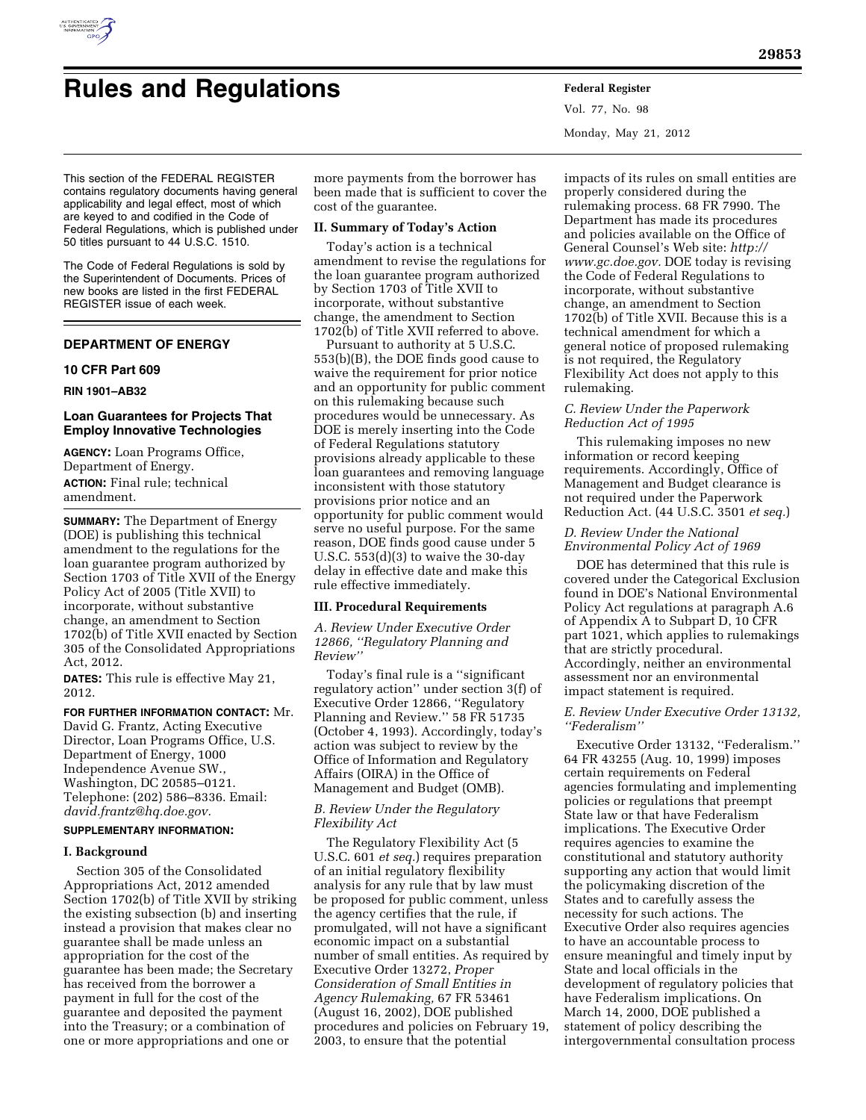

Vol. 77, No. 98 Monday, May 21, 2012

This section of the FEDERAL REGISTER contains regulatory documents having general applicability and legal effect, most of which are keyed to and codified in the Code of Federal Regulations, which is published under 50 titles pursuant to 44 U.S.C. 1510.

The Code of Federal Regulations is sold by the Superintendent of Documents. Prices of new books are listed in the first FEDERAL REGISTER issue of each week.

# **DEPARTMENT OF ENERGY**

### **10 CFR Part 609**

### **RIN 1901–AB32**

### **Loan Guarantees for Projects That Employ Innovative Technologies**

**AGENCY:** Loan Programs Office, Department of Energy. **ACTION:** Final rule; technical amendment.

**SUMMARY:** The Department of Energy (DOE) is publishing this technical amendment to the regulations for the loan guarantee program authorized by Section 1703 of Title XVII of the Energy Policy Act of 2005 (Title XVII) to incorporate, without substantive change, an amendment to Section 1702(b) of Title XVII enacted by Section 305 of the Consolidated Appropriations Act, 2012.

**DATES:** This rule is effective May 21, 2012.

#### **FOR FURTHER INFORMATION CONTACT:** Mr.

David G. Frantz, Acting Executive Director, Loan Programs Office, U.S. Department of Energy, 1000 Independence Avenue SW., Washington, DC 20585–0121. Telephone: (202) 586–8336. Email: *[david.frantz@hq.doe.gov.](mailto:david.frantz@hq.doe.gov)* 

# **SUPPLEMENTARY INFORMATION:**

## **I. Background**

Section 305 of the Consolidated Appropriations Act, 2012 amended Section 1702(b) of Title XVII by striking the existing subsection (b) and inserting instead a provision that makes clear no guarantee shall be made unless an appropriation for the cost of the guarantee has been made; the Secretary has received from the borrower a payment in full for the cost of the guarantee and deposited the payment into the Treasury; or a combination of one or more appropriations and one or

more payments from the borrower has been made that is sufficient to cover the cost of the guarantee.

### **II. Summary of Today's Action**

Today's action is a technical amendment to revise the regulations for the loan guarantee program authorized by Section 1703 of Title XVII to incorporate, without substantive change, the amendment to Section 1702(b) of Title XVII referred to above.

Pursuant to authority at 5 U.S.C. 553(b)(B), the DOE finds good cause to waive the requirement for prior notice and an opportunity for public comment on this rulemaking because such procedures would be unnecessary. As DOE is merely inserting into the Code of Federal Regulations statutory provisions already applicable to these loan guarantees and removing language inconsistent with those statutory provisions prior notice and an opportunity for public comment would serve no useful purpose. For the same reason, DOE finds good cause under 5 U.S.C.  $553(d)(3)$  to waive the 30-day delay in effective date and make this rule effective immediately.

#### **III. Procedural Requirements**

*A. Review Under Executive Order 12866, ''Regulatory Planning and Review''* 

Today's final rule is a ''significant regulatory action'' under section 3(f) of Executive Order 12866, ''Regulatory Planning and Review.'' 58 FR 51735 (October 4, 1993). Accordingly, today's action was subject to review by the Office of Information and Regulatory Affairs (OIRA) in the Office of Management and Budget (OMB).

## *B. Review Under the Regulatory Flexibility Act*

The Regulatory Flexibility Act (5 U.S.C. 601 *et seq.*) requires preparation of an initial regulatory flexibility analysis for any rule that by law must be proposed for public comment, unless the agency certifies that the rule, if promulgated, will not have a significant economic impact on a substantial number of small entities. As required by Executive Order 13272, *Proper Consideration of Small Entities in Agency Rulemaking,* 67 FR 53461 (August 16, 2002), DOE published procedures and policies on February 19, 2003, to ensure that the potential

impacts of its rules on small entities are properly considered during the rulemaking process. 68 FR 7990. The Department has made its procedures and policies available on the Office of General Counsel's Web site: *[http://](http://www.gc.doe.gov)  [www.gc.doe.gov.](http://www.gc.doe.gov)* DOE today is revising the Code of Federal Regulations to incorporate, without substantive change, an amendment to Section 1702(b) of Title XVII. Because this is a technical amendment for which a general notice of proposed rulemaking is not required, the Regulatory Flexibility Act does not apply to this rulemaking.

### *C. Review Under the Paperwork Reduction Act of 1995*

This rulemaking imposes no new information or record keeping requirements. Accordingly, Office of Management and Budget clearance is not required under the Paperwork Reduction Act. (44 U.S.C. 3501 *et seq.*)

### *D. Review Under the National Environmental Policy Act of 1969*

DOE has determined that this rule is covered under the Categorical Exclusion found in DOE's National Environmental Policy Act regulations at paragraph A.6 of Appendix A to Subpart D, 10 CFR part 1021, which applies to rulemakings that are strictly procedural. Accordingly, neither an environmental assessment nor an environmental impact statement is required.

### *E. Review Under Executive Order 13132, ''Federalism''*

Executive Order 13132, ''Federalism.'' 64 FR 43255 (Aug. 10, 1999) imposes certain requirements on Federal agencies formulating and implementing policies or regulations that preempt State law or that have Federalism implications. The Executive Order requires agencies to examine the constitutional and statutory authority supporting any action that would limit the policymaking discretion of the States and to carefully assess the necessity for such actions. The Executive Order also requires agencies to have an accountable process to ensure meaningful and timely input by State and local officials in the development of regulatory policies that have Federalism implications. On March 14, 2000, DOE published a statement of policy describing the intergovernmental consultation process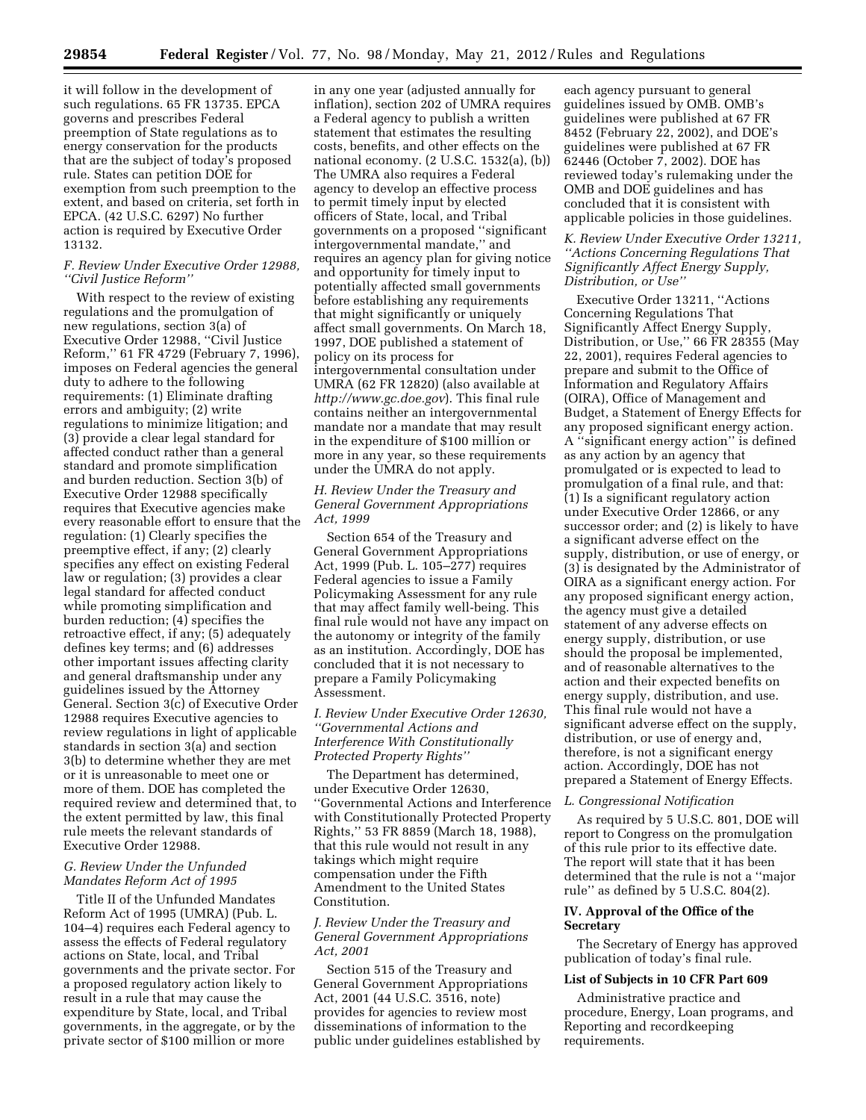it will follow in the development of such regulations. 65 FR 13735. EPCA governs and prescribes Federal preemption of State regulations as to energy conservation for the products that are the subject of today's proposed rule. States can petition DOE for exemption from such preemption to the extent, and based on criteria, set forth in EPCA. (42 U.S.C. 6297) No further action is required by Executive Order 13132.

## *F. Review Under Executive Order 12988, ''Civil Justice Reform''*

With respect to the review of existing regulations and the promulgation of new regulations, section 3(a) of Executive Order 12988, ''Civil Justice Reform,'' 61 FR 4729 (February 7, 1996), imposes on Federal agencies the general duty to adhere to the following requirements: (1) Eliminate drafting errors and ambiguity; (2) write regulations to minimize litigation; and (3) provide a clear legal standard for affected conduct rather than a general standard and promote simplification and burden reduction. Section 3(b) of Executive Order 12988 specifically requires that Executive agencies make every reasonable effort to ensure that the regulation: (1) Clearly specifies the preemptive effect, if any; (2) clearly specifies any effect on existing Federal law or regulation; (3) provides a clear legal standard for affected conduct while promoting simplification and burden reduction; (4) specifies the retroactive effect, if any; (5) adequately defines key terms; and (6) addresses other important issues affecting clarity and general draftsmanship under any guidelines issued by the Attorney General. Section 3(c) of Executive Order 12988 requires Executive agencies to review regulations in light of applicable standards in section 3(a) and section 3(b) to determine whether they are met or it is unreasonable to meet one or more of them. DOE has completed the required review and determined that, to the extent permitted by law, this final rule meets the relevant standards of Executive Order 12988.

### *G. Review Under the Unfunded Mandates Reform Act of 1995*

Title II of the Unfunded Mandates Reform Act of 1995 (UMRA) (Pub. L. 104–4) requires each Federal agency to assess the effects of Federal regulatory actions on State, local, and Tribal governments and the private sector. For a proposed regulatory action likely to result in a rule that may cause the expenditure by State, local, and Tribal governments, in the aggregate, or by the private sector of \$100 million or more

in any one year (adjusted annually for inflation), section 202 of UMRA requires a Federal agency to publish a written statement that estimates the resulting costs, benefits, and other effects on the national economy. (2 U.S.C. 1532(a), (b)) The UMRA also requires a Federal agency to develop an effective process to permit timely input by elected officers of State, local, and Tribal governments on a proposed ''significant intergovernmental mandate,'' and requires an agency plan for giving notice and opportunity for timely input to potentially affected small governments before establishing any requirements that might significantly or uniquely affect small governments. On March 18, 1997, DOE published a statement of policy on its process for intergovernmental consultation under UMRA (62 FR 12820) (also available at *<http://www.gc.doe.gov>*). This final rule contains neither an intergovernmental mandate nor a mandate that may result in the expenditure of \$100 million or more in any year, so these requirements under the UMRA do not apply.

## *H. Review Under the Treasury and General Government Appropriations Act, 1999*

Section 654 of the Treasury and General Government Appropriations Act, 1999 (Pub. L. 105–277) requires Federal agencies to issue a Family Policymaking Assessment for any rule that may affect family well-being. This final rule would not have any impact on the autonomy or integrity of the family as an institution. Accordingly, DOE has concluded that it is not necessary to prepare a Family Policymaking Assessment.

# *I. Review Under Executive Order 12630, ''Governmental Actions and Interference With Constitutionally Protected Property Rights''*

The Department has determined, under Executive Order 12630, ''Governmental Actions and Interference with Constitutionally Protected Property Rights,'' 53 FR 8859 (March 18, 1988), that this rule would not result in any takings which might require compensation under the Fifth Amendment to the United States Constitution.

## *J. Review Under the Treasury and General Government Appropriations Act, 2001*

Section 515 of the Treasury and General Government Appropriations Act, 2001 (44 U.S.C. 3516, note) provides for agencies to review most disseminations of information to the public under guidelines established by

each agency pursuant to general guidelines issued by OMB. OMB's guidelines were published at 67 FR 8452 (February 22, 2002), and DOE's guidelines were published at 67 FR 62446 (October 7, 2002). DOE has reviewed today's rulemaking under the OMB and DOE guidelines and has concluded that it is consistent with applicable policies in those guidelines.

## *K. Review Under Executive Order 13211, ''Actions Concerning Regulations That Significantly Affect Energy Supply, Distribution, or Use''*

Executive Order 13211, ''Actions Concerning Regulations That Significantly Affect Energy Supply, Distribution, or Use,'' 66 FR 28355 (May 22, 2001), requires Federal agencies to prepare and submit to the Office of Information and Regulatory Affairs (OIRA), Office of Management and Budget, a Statement of Energy Effects for any proposed significant energy action. A ''significant energy action'' is defined as any action by an agency that promulgated or is expected to lead to promulgation of a final rule, and that: (1) Is a significant regulatory action under Executive Order 12866, or any successor order; and (2) is likely to have a significant adverse effect on the supply, distribution, or use of energy, or (3) is designated by the Administrator of OIRA as a significant energy action. For any proposed significant energy action, the agency must give a detailed statement of any adverse effects on energy supply, distribution, or use should the proposal be implemented, and of reasonable alternatives to the action and their expected benefits on energy supply, distribution, and use. This final rule would not have a significant adverse effect on the supply, distribution, or use of energy and, therefore, is not a significant energy action. Accordingly, DOE has not prepared a Statement of Energy Effects.

#### *L. Congressional Notification*

As required by 5 U.S.C. 801, DOE will report to Congress on the promulgation of this rule prior to its effective date. The report will state that it has been determined that the rule is not a ''major rule'' as defined by 5 U.S.C. 804(2).

# **IV. Approval of the Office of the Secretary**

The Secretary of Energy has approved publication of today's final rule.

#### **List of Subjects in 10 CFR Part 609**

Administrative practice and procedure, Energy, Loan programs, and Reporting and recordkeeping requirements.